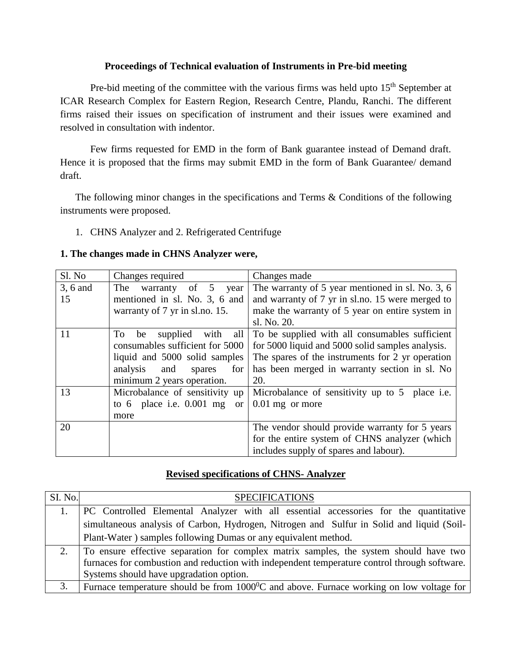#### **Proceedings of Technical evaluation of Instruments in Pre-bid meeting**

Pre-bid meeting of the committee with the various firms was held upto  $15<sup>th</sup>$  September at ICAR Research Complex for Eastern Region, Research Centre, Plandu, Ranchi. The different firms raised their issues on specification of instrument and their issues were examined and resolved in consultation with indentor.

Few firms requested for EMD in the form of Bank guarantee instead of Demand draft. Hence it is proposed that the firms may submit EMD in the form of Bank Guarantee/ demand draft.

The following minor changes in the specifications and Terms & Conditions of the following instruments were proposed.

1. CHNS Analyzer and 2. Refrigerated Centrifuge

#### **1. The changes made in CHNS Analyzer were,**

| Sl. No   | Changes required                            | Changes made                                             |
|----------|---------------------------------------------|----------------------------------------------------------|
| 3, 6 and | The<br>of $5$<br>warranty<br>year           | The warranty of 5 year mentioned in sl. No. 3, 6         |
| 15       | mentioned in sl. No. 3, 6 and               | and warranty of 7 yr in sl.no. 15 were merged to         |
|          | warranty of 7 yr in sl.no. 15.              | make the warranty of 5 year on entire system in          |
|          |                                             | sl. No. 20.                                              |
| 11       | supplied with<br>To<br>all<br>be            | To be supplied with all consumables sufficient           |
|          | consumables sufficient for 5000             | for 5000 liquid and 5000 solid samples analysis.         |
|          | liquid and 5000 solid samples               | The spares of the instruments for 2 yr operation         |
|          | analysis and<br>spares<br>for               | has been merged in warranty section in sl. No            |
|          | minimum 2 years operation.                  | 20.                                                      |
| 13       | Microbalance of sensitivity up              | Microbalance of sensitivity up to 5<br>place <i>i.e.</i> |
|          | to 6 place i.e. $0.001$ mg<br><sub>or</sub> | $0.01$ mg or more                                        |
|          | more                                        |                                                          |
| 20       |                                             | The vendor should provide warranty for 5 years           |
|          |                                             | for the entire system of CHNS analyzer (which            |
|          |                                             | includes supply of spares and labour).                   |

#### **Revised specifications of CHNS- Analyzer**

| SI. No. | <b>SPECIFICATIONS</b>                                                                             |  |
|---------|---------------------------------------------------------------------------------------------------|--|
|         | PC Controlled Elemental Analyzer with all essential accessories for the quantitative              |  |
|         | simultaneous analysis of Carbon, Hydrogen, Nitrogen and Sulfur in Solid and liquid (Soil-         |  |
|         | Plant-Water) samples following Dumas or any equivalent method.                                    |  |
|         | To ensure effective separation for complex matrix samples, the system should have two             |  |
|         | furnaces for combustion and reduction with independent temperature control through software.      |  |
|         | Systems should have upgradation option.                                                           |  |
|         | Furnace temperature should be from $1000^{\circ}$ C and above. Furnace working on low voltage for |  |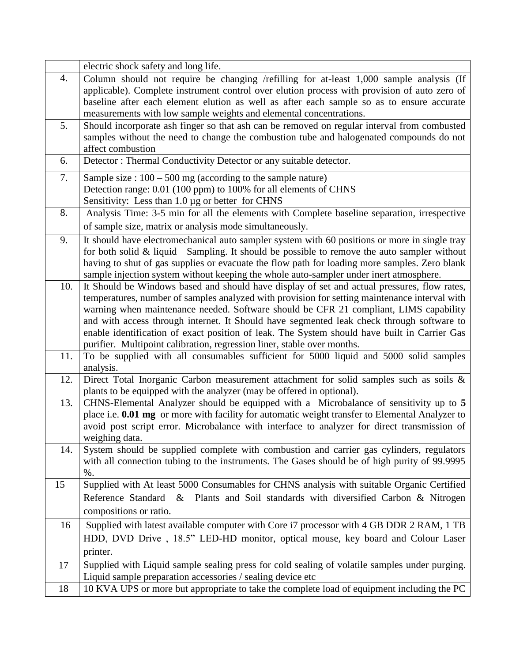|     | electric shock safety and long life.                                                                                                                                                         |
|-----|----------------------------------------------------------------------------------------------------------------------------------------------------------------------------------------------|
| 4.  | Column should not require be changing /refilling for at-least 1,000 sample analysis (If                                                                                                      |
|     | applicable). Complete instrument control over elution process with provision of auto zero of                                                                                                 |
|     | baseline after each element elution as well as after each sample so as to ensure accurate                                                                                                    |
|     | measurements with low sample weights and elemental concentrations.                                                                                                                           |
| 5.  | Should incorporate ash finger so that ash can be removed on regular interval from combusted                                                                                                  |
|     | samples without the need to change the combustion tube and halogenated compounds do not                                                                                                      |
|     | affect combustion                                                                                                                                                                            |
| 6.  | Detector: Thermal Conductivity Detector or any suitable detector.                                                                                                                            |
| 7.  | Sample size : $100 - 500$ mg (according to the sample nature)                                                                                                                                |
|     | Detection range: 0.01 (100 ppm) to 100% for all elements of CHNS                                                                                                                             |
|     | Sensitivity: Less than 1.0 µg or better for CHNS                                                                                                                                             |
| 8.  | Analysis Time: 3-5 min for all the elements with Complete baseline separation, irrespective                                                                                                  |
|     | of sample size, matrix or analysis mode simultaneously.                                                                                                                                      |
| 9.  | It should have electromechanical auto sampler system with 60 positions or more in single tray                                                                                                |
|     | for both solid & liquid Sampling. It should be possible to remove the auto sampler without                                                                                                   |
|     | having to shut of gas supplies or evacuate the flow path for loading more samples. Zero blank                                                                                                |
|     | sample injection system without keeping the whole auto-sampler under inert atmosphere.                                                                                                       |
| 10. | It Should be Windows based and should have display of set and actual pressures, flow rates,<br>temperatures, number of samples analyzed with provision for setting maintenance interval with |
|     | warning when maintenance needed. Software should be CFR 21 compliant, LIMS capability                                                                                                        |
|     | and with access through internet. It Should have segmented leak check through software to                                                                                                    |
|     | enable identification of exact position of leak. The System should have built in Carrier Gas                                                                                                 |
|     | purifier. Multipoint calibration, regression liner, stable over months.                                                                                                                      |
| 11. | To be supplied with all consumables sufficient for 5000 liquid and 5000 solid samples                                                                                                        |
|     | analysis.                                                                                                                                                                                    |
| 12. | Direct Total Inorganic Carbon measurement attachment for solid samples such as soils &                                                                                                       |
|     | plants to be equipped with the analyzer (may be offered in optional).                                                                                                                        |
| 13. | CHNS-Elemental Analyzer should be equipped with a Microbalance of sensitivity up to 5                                                                                                        |
|     | place i.e. 0.01 mg or more with facility for automatic weight transfer to Elemental Analyzer to                                                                                              |
|     | avoid post script error. Microbalance with interface to analyzer for direct transmission of                                                                                                  |
|     | weighing data.                                                                                                                                                                               |
| 14. | System should be supplied complete with combustion and carrier gas cylinders, regulators                                                                                                     |
|     | with all connection tubing to the instruments. The Gases should be of high purity of 99.9995<br>$%$ .                                                                                        |
| 15  | Supplied with At least 5000 Consumables for CHNS analysis with suitable Organic Certified                                                                                                    |
|     | Reference Standard & Plants and Soil standards with diversified Carbon & Nitrogen                                                                                                            |
|     |                                                                                                                                                                                              |
|     | compositions or ratio.                                                                                                                                                                       |
| 16  | Supplied with latest available computer with Core i7 processor with 4 GB DDR 2 RAM, 1 TB                                                                                                     |
|     | HDD, DVD Drive, 18.5" LED-HD monitor, optical mouse, key board and Colour Laser                                                                                                              |
|     | printer.                                                                                                                                                                                     |
| 17  | Supplied with Liquid sample sealing press for cold sealing of volatile samples under purging.                                                                                                |
|     | Liquid sample preparation accessories / sealing device etc                                                                                                                                   |
| 18  | 10 KVA UPS or more but appropriate to take the complete load of equipment including the PC                                                                                                   |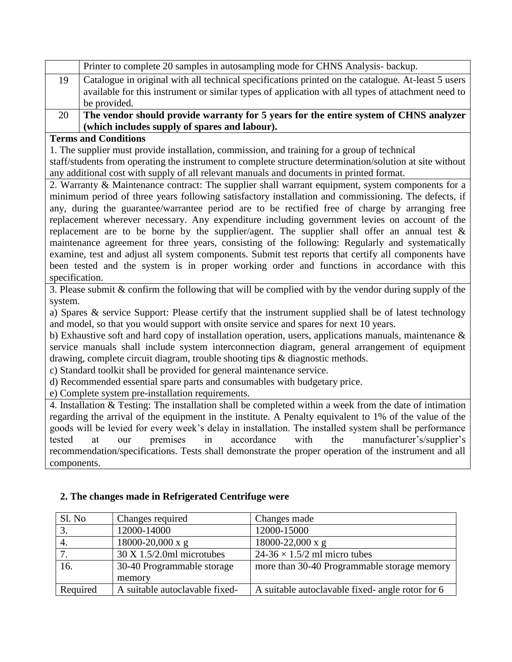|          | Printer to complete 20 samples in autosampling mode for CHNS Analysis- backup.                     |
|----------|----------------------------------------------------------------------------------------------------|
|          | Catalogue in original with all technical specifications printed on the catalogue. At-least 5 users |
|          | available for this instrument or similar types of application with all types of attachment need to |
|          | be provided.                                                                                       |
| $\Omega$ | The vender should previde we worty for 5 years for the entire system of CUNS engineer              |

20 **The vendor should provide warranty for 5 years for the entire system of CHNS analyzer (which includes supply of spares and labour).**

#### **Terms and Conditions**

1. The supplier must provide installation, commission, and training for a group of technical staff/students from operating the instrument to complete structure determination/solution at site without any additional cost with supply of all relevant manuals and documents in printed format.

2. Warranty & Maintenance contract: The supplier shall warrant equipment, system components for a minimum period of three years following satisfactory installation and commissioning. The defects, if any, during the guarantee/warrantee period are to be rectified free of charge by arranging free replacement wherever necessary. Any expenditure including government levies on account of the replacement are to be borne by the supplier/agent. The supplier shall offer an annual test  $\&$ maintenance agreement for three years, consisting of the following: Regularly and systematically examine, test and adjust all system components. Submit test reports that certify all components have been tested and the system is in proper working order and functions in accordance with this specification.

3. Please submit & confirm the following that will be complied with by the vendor during supply of the system.

a) Spares & service Support: Please certify that the instrument supplied shall be of latest technology and model, so that you would support with onsite service and spares for next 10 years.

b) Exhaustive soft and hard copy of installation operation, users, applications manuals, maintenance  $\&$ service manuals shall include system interconnection diagram, general arrangement of equipment drawing, complete circuit diagram, trouble shooting tips & diagnostic methods.

c) Standard toolkit shall be provided for general maintenance service.

d) Recommended essential spare parts and consumables with budgetary price.

e) Complete system pre-installation requirements.

4. Installation & Testing: The installation shall be completed within a week from the date of intimation regarding the arrival of the equipment in the institute. A Penalty equivalent to 1% of the value of the goods will be levied for every week's delay in installation. The installed system shall be performance tested at our premises in accordance with the manufacturer's/supplier's recommendation/specifications. Tests shall demonstrate the proper operation of the instrument and all components.

| Sl. No   | Changes required                    | Changes made                                     |
|----------|-------------------------------------|--------------------------------------------------|
|          | 12000-14000                         | 12000-15000                                      |
| 4.       | $18000 - 20,000 \text{ x g}$        | $18000 - 22,000 \text{ x g}$                     |
|          | $30 \text{ X}$ 1.5/2.0ml microtubes | $24-36 \times 1.5/2$ ml micro tubes              |
| 16.      | 30-40 Programmable storage          | more than 30-40 Programmable storage memory      |
|          | memory                              |                                                  |
| Required | A suitable autoclavable fixed-      | A suitable autoclavable fixed- angle rotor for 6 |

## **2. The changes made in Refrigerated Centrifuge were**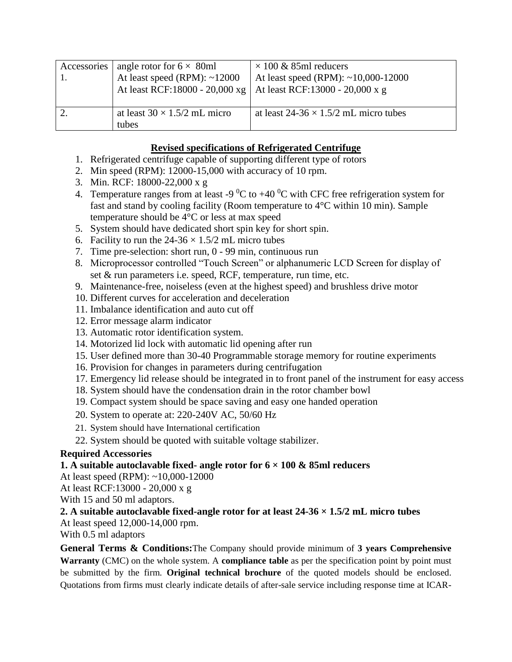| Accessories   angle rotor for $6 \times 80$ ml<br>At least speed (RPM): $~12000$<br>At least RCF:18000 - 20,000 xg | $\times$ 100 & 85ml reducers<br>At least speed (RPM): $~10,000-12000$<br>At least RCF:13000 - 20,000 x g |
|--------------------------------------------------------------------------------------------------------------------|----------------------------------------------------------------------------------------------------------|
| at least $30 \times 1.5/2$ mL micro<br>tubes                                                                       | at least $24-36 \times 1.5/2$ mL micro tubes                                                             |

# **Revised specifications of Refrigerated Centrifuge**

- 1. Refrigerated centrifuge capable of supporting different type of rotors
- 2. Min speed (RPM): 12000-15,000 with accuracy of 10 rpm.
- 3. Min. RCF: 18000-22,000 x g
- 4. Temperature ranges from at least -9  $\rm{^0C}$  to +40  $\rm{^0C}$  with CFC free refrigeration system for fast and stand by cooling facility (Room temperature to 4°C within 10 min). Sample temperature should be 4°C or less at max speed
- 5. System should have dedicated short spin key for short spin.
- 6. Facility to run the  $24-36 \times 1.5/2$  mL micro tubes
- 7. Time pre-selection: short run, 0 99 min, continuous run
- 8. Microprocessor controlled "Touch Screen" or alphanumeric LCD Screen for display of set & run parameters i.e. speed, RCF, temperature, run time, etc.
- 9. Maintenance-free, noiseless (even at the highest speed) and brushless drive motor
- 10. Different curves for acceleration and deceleration
- 11. Imbalance identification and auto cut off
- 12. Error message alarm indicator
- 13. Automatic rotor identification system.
- 14. Motorized lid lock with automatic lid opening after run
- 15. User defined more than 30-40 Programmable storage memory for routine experiments
- 16. Provision for changes in parameters during centrifugation
- 17. Emergency lid release should be integrated in to front panel of the instrument for easy access
- 18. System should have the condensation drain in the rotor chamber bowl
- 19. Compact system should be space saving and easy one handed operation
- 20. System to operate at: 220-240V AC, 50/60 Hz
- 21. System should have International certification
- 22. System should be quoted with suitable voltage stabilizer.

## **Required Accessories**

## **1. A suitable autoclavable fixed- angle rotor for 6 × 100 & 85ml reducers**

At least speed (RPM): ~10,000-12000

At least RCF:13000 - 20,000 x g

With 15 and 50 ml adaptors.

## **2. A suitable autoclavable fixed-angle rotor for at least 24-36 × 1.5/2 mL micro tubes**

At least speed 12,000-14,000 rpm.

With 0.5 ml adaptors

**General Terms & Conditions:**The Company should provide minimum of **3 years Comprehensive Warranty** (CMC) on the whole system. A **compliance table** as per the specification point by point must be submitted by the firm. **Original technical brochure** of the quoted models should be enclosed. Quotations from firms must clearly indicate details of after-sale service including response time at ICAR-